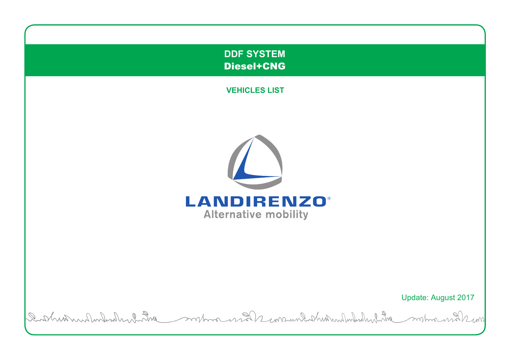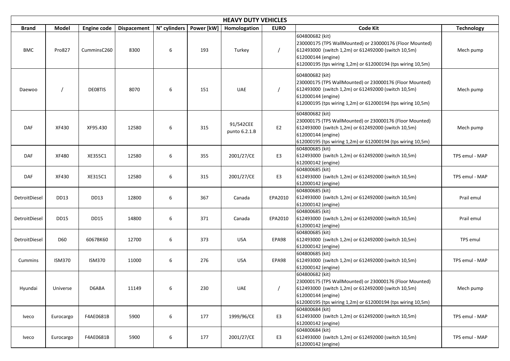| <b>HEAVY DUTY VEHICLES</b> |               |                    |                    |                           |     |                            |                |                                                                                                                                                                                                                         |                   |  |
|----------------------------|---------------|--------------------|--------------------|---------------------------|-----|----------------------------|----------------|-------------------------------------------------------------------------------------------------------------------------------------------------------------------------------------------------------------------------|-------------------|--|
| <b>Brand</b>               | <b>Model</b>  | <b>Engine code</b> | <b>Dispacement</b> | N° cylinders   Power [kW] |     | Homologation               | <b>EURO</b>    | <b>Code Kit</b>                                                                                                                                                                                                         | <b>Technology</b> |  |
| <b>BMC</b>                 | Pro827        | CumminsC260        | 8300               | 6                         | 193 | Turkey                     |                | 604800682 (kit)<br>230000175 (TPS WallMounted) or 230000176 (Floor Mounted)<br>612493000 (switch 1,2m) or 612492000 (switch 10,5m)<br>612000144 (engine)<br>612000195 (tps wiring 1,2m) or 612000194 (tps wiring 10,5m) | Mech pump         |  |
| Daewoo                     |               | DE08TIS            | 8070               | 6                         | 151 | <b>UAE</b>                 |                | 604800682 (kit)<br>230000175 (TPS WallMounted) or 230000176 (Floor Mounted)<br>612493000 (switch 1,2m) or 612492000 (switch 10,5m)<br>612000144 (engine)<br>612000195 (tps wiring 1,2m) or 612000194 (tps wiring 10,5m) | Mech pump         |  |
| <b>DAF</b>                 | XF430         | XF95.430           | 12580              | 6                         | 315 | 91/542CEE<br>punto 6.2.1.B | E <sub>2</sub> | 604800682 (kit)<br>230000175 (TPS WallMounted) or 230000176 (Floor Mounted)<br>612493000 (switch 1,2m) or 612492000 (switch 10,5m)<br>612000144 (engine)<br>612000195 (tps wiring 1,2m) or 612000194 (tps wiring 10,5m) | Mech pump         |  |
| <b>DAF</b>                 | XF480         | XE355C1            | 12580              | 6                         | 355 | 2001/27/CE                 | E <sub>3</sub> | 604800685 (kit)<br>612493000 (switch 1,2m) or 612492000 (switch 10,5m)<br>612000142 (engine)                                                                                                                            | TPS emul - MAP    |  |
| <b>DAF</b>                 | XF430         | XE315C1            | 12580              | 6                         | 315 | 2001/27/CE                 | E <sub>3</sub> | 604800685 (kit)<br>612493000 (switch 1,2m) or 612492000 (switch 10,5m)<br>612000142 (engine)                                                                                                                            | TPS emul - MAP    |  |
| DetroitDiesel              | <b>DD13</b>   | DD13               | 12800              | 6                         | 367 | Canada                     | EPA2010        | 604800685 (kit)<br>612493000 (switch 1,2m) or 612492000 (switch 10,5m)<br>612000142 (engine)                                                                                                                            | Prail emul        |  |
| DetroitDiesel              | <b>DD15</b>   | <b>DD15</b>        | 14800              | 6                         | 371 | Canada                     | EPA2010        | 604800685 (kit)<br>612493000 (switch 1,2m) or 612492000 (switch 10,5m)<br>612000142 (engine)                                                                                                                            | Prail emul        |  |
| DetroitDiesel              | D60           | 6067BK60           | 12700              | 6                         | 373 | <b>USA</b>                 | EPA98          | 604800685 (kit)<br>612493000 (switch 1,2m) or 612492000 (switch 10,5m)<br>612000142 (engine)                                                                                                                            | TPS emul          |  |
| Cummins                    | <b>ISM370</b> | <b>ISM370</b>      | 11000              | 6                         | 276 | <b>USA</b>                 | EPA98          | 604800685 (kit)<br>612493000 (switch 1,2m) or 612492000 (switch 10,5m)<br>612000142 (engine)                                                                                                                            | TPS emul - MAP    |  |
| Hyundai                    | Universe      | D6ABA              | 11149              | 6                         | 230 | UAE                        |                | 604800682 (kit)<br>230000175 (TPS WallMounted) or 230000176 (Floor Mounted)<br>612493000 (switch 1,2m) or 612492000 (switch 10,5m)<br>612000144 (engine)<br>612000195 (tps wiring 1,2m) or 612000194 (tps wiring 10,5m) | Mech pump         |  |
| Iveco                      | Eurocargo     | F4AE0681B          | 5900               | 6                         | 177 | 1999/96/CE                 | E <sub>3</sub> | 604800684 (kit)<br>612493000 (switch 1,2m) or 612492000 (switch 10,5m)<br>612000142 (engine)                                                                                                                            | TPS emul - MAP    |  |
| Iveco                      | Eurocargo     | F4AE0681B          | 5900               | 6                         | 177 | 2001/27/CE                 | E <sub>3</sub> | 604800684 (kit)<br>612493000 (switch 1,2m) or 612492000 (switch 10,5m)<br>612000142 (engine)                                                                                                                            | TPS emul - MAP    |  |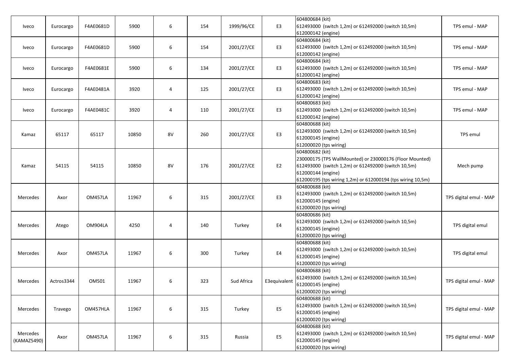|                         |            |           |       |    |     |            |                | 604800684 (kit)                                             |                        |  |
|-------------------------|------------|-----------|-------|----|-----|------------|----------------|-------------------------------------------------------------|------------------------|--|
| Iveco                   | Eurocargo  | F4AE0681D | 5900  | 6  | 154 | 1999/96/CE | E <sub>3</sub> | 612493000 (switch 1,2m) or 612492000 (switch 10,5m)         | TPS emul - MAP         |  |
|                         |            |           |       |    |     |            |                | 612000142 (engine)                                          |                        |  |
|                         |            |           |       |    |     |            |                | 604800684 (kit)                                             |                        |  |
| Iveco                   | Eurocargo  | F4AE0681D | 5900  | 6  | 154 | 2001/27/CE | E <sub>3</sub> | 612493000 (switch 1,2m) or 612492000 (switch 10,5m)         | TPS emul - MAP         |  |
|                         |            |           |       |    |     |            |                | 612000142 (engine)                                          |                        |  |
|                         |            |           |       |    |     |            |                | 604800684 (kit)                                             |                        |  |
| Iveco                   | Eurocargo  | F4AE0681E | 5900  | 6  | 134 | 2001/27/CE | E <sub>3</sub> | 612493000 (switch 1,2m) or 612492000 (switch 10,5m)         | TPS emul - MAP         |  |
|                         |            |           |       |    |     |            |                | 612000142 (engine)                                          |                        |  |
|                         |            |           |       |    |     |            |                | 604800683 (kit)                                             |                        |  |
| Iveco                   | Eurocargo  | F4AE0481A | 3920  | 4  | 125 | 2001/27/CE | E <sub>3</sub> | 612493000 (switch 1,2m) or 612492000 (switch 10,5m)         | TPS emul - MAP         |  |
|                         |            |           |       |    |     |            |                | 612000142 (engine)                                          |                        |  |
|                         |            |           |       |    |     |            |                | 604800683 (kit)                                             |                        |  |
|                         |            |           | 3920  |    | 110 |            | E <sub>3</sub> | 612493000 (switch 1,2m) or 612492000 (switch 10,5m)         | TPS emul - MAP         |  |
| Iveco                   | Eurocargo  | F4AE0481C |       | 4  |     | 2001/27/CE |                |                                                             |                        |  |
|                         |            |           |       |    |     |            |                | 612000142 (engine)                                          |                        |  |
|                         |            |           |       |    |     |            |                | 604800688 (kit)                                             |                        |  |
| Kamaz                   | 65117      | 65117     | 10850 | 8V | 260 | 2001/27/CE | E <sub>3</sub> | 612493000 (switch 1,2m) or 612492000 (switch 10,5m)         | TPS emul               |  |
|                         |            |           |       |    |     |            |                | 612000145 (engine)                                          |                        |  |
|                         |            |           |       |    |     |            |                | 612000020 (tps wiring)                                      |                        |  |
|                         |            | 54115     | 10850 | 8V | 176 | 2001/27/CE | E <sub>2</sub> | 604800682 (kit)                                             |                        |  |
|                         |            |           |       |    |     |            |                | 230000175 (TPS WallMounted) or 230000176 (Floor Mounted)    |                        |  |
| Kamaz                   | 54115      |           |       |    |     |            |                | 612493000 (switch 1,2m) or 612492000 (switch 10,5m)         | Mech pump              |  |
|                         |            |           |       |    |     |            |                | 612000144 (engine)                                          |                        |  |
|                         |            |           |       |    |     |            |                | 612000195 (tps wiring 1,2m) or 612000194 (tps wiring 10,5m) |                        |  |
|                         |            |           |       |    |     |            |                | 604800688 (kit)                                             |                        |  |
| Mercedes                | Axor       | OM457LA   | 11967 | 6  | 315 | 2001/27/CE | E <sub>3</sub> | 612493000 (switch 1,2m) or 612492000 (switch 10,5m)         | TPS digital emul - MAP |  |
|                         |            |           |       |    |     |            |                | 612000145 (engine)                                          |                        |  |
|                         |            |           |       |    |     |            |                | 612000020 (tps wiring)                                      |                        |  |
|                         |            |           |       |    |     |            |                | 604800686 (kit)                                             |                        |  |
|                         |            |           |       |    |     |            |                | 612493000 (switch 1,2m) or 612492000 (switch 10,5m)         |                        |  |
| Mercedes                | Atego      | OM904LA   | 4250  | 4  | 140 | Turkey     | E4             | 612000145 (engine)                                          | TPS digital emul       |  |
|                         |            |           |       |    |     |            |                | 612000020 (tps wiring)                                      |                        |  |
|                         |            |           |       |    |     |            |                | 604800688 (kit)                                             |                        |  |
|                         |            |           |       |    |     |            |                | 612493000 (switch 1,2m) or 612492000 (switch 10,5m)         |                        |  |
| Mercedes                | Axor       | OM457LA   | 11967 | 6  | 300 | Turkey     | E4             | 612000145 (engine)                                          | TPS digital emul       |  |
|                         |            |           |       |    |     |            |                | 612000020 (tps wiring)                                      |                        |  |
|                         |            |           |       |    |     |            |                | 604800688 (kit)                                             |                        |  |
|                         |            |           |       |    |     |            |                | 612493000 (switch 1,2m) or 612492000 (switch 10,5m)         |                        |  |
| Mercedes                | Actros3344 | OM501     | 11967 | 6  | 323 | Sud Africa | E3equivalent   | 612000145 (engine)                                          | TPS digital emul - MAP |  |
|                         |            |           |       |    |     |            |                | 612000020 (tps wiring)                                      |                        |  |
|                         |            |           |       |    |     |            |                | 604800688 (kit)                                             |                        |  |
| Mercedes                | Travego    | OM457HLA  | 11967 | 6  | 315 | Turkey     |                | 612493000 (switch 1,2m) or 612492000 (switch 10,5m)         | TPS digital emul - MAP |  |
|                         |            |           |       |    |     |            | E <sub>5</sub> | 612000145 (engine)                                          |                        |  |
|                         |            |           |       |    |     |            |                | 612000020 (tps wiring)                                      |                        |  |
|                         |            |           |       |    |     |            |                | 604800688 (kit)                                             |                        |  |
|                         |            | OM457LA   | 11967 | 6  | 315 | Russia     | E <sub>5</sub> | 612493000 (switch 1,2m) or 612492000 (switch 10,5m)         |                        |  |
| Mercedes<br>(KAMAZ5490) | Axor       |           |       |    |     |            |                |                                                             | TPS digital emul - MAP |  |
|                         |            |           |       |    |     |            |                | 612000145 (engine)                                          |                        |  |
|                         |            |           |       |    |     |            |                | 612000020 (tps wiring)                                      |                        |  |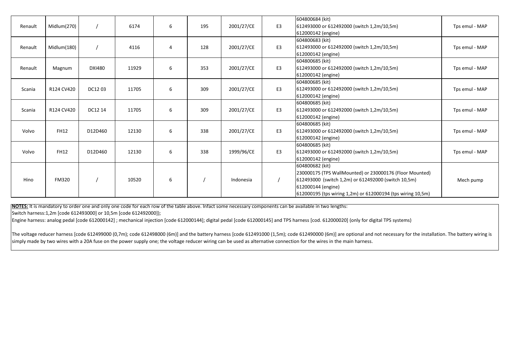| Renault | Midlum(270)  |               | 6174  | 6              | 195 | 2001/27/CE | E <sub>3</sub> | 604800684 (kit)<br>612493000 or 612492000 (switch 1,2m/10,5m)<br>612000142 (engine)                                                                                                                                     | Tps emul - MAP |
|---------|--------------|---------------|-------|----------------|-----|------------|----------------|-------------------------------------------------------------------------------------------------------------------------------------------------------------------------------------------------------------------------|----------------|
| Renault | Midlum(180)  |               | 4116  | $\overline{4}$ | 128 | 2001/27/CE | E <sub>3</sub> | 604800683 (kit)<br>612493000 or 612492000 (switch 1,2m/10,5m)<br>612000142 (engine)                                                                                                                                     | Tps emul - MAP |
| Renault | Magnum       | <b>DXI480</b> | 11929 | 6              | 353 | 2001/27/CE | E3             | 604800685 (kit)<br>612493000 or 612492000 (switch 1,2m/10,5m)<br>612000142 (engine)                                                                                                                                     | Tps emul - MAP |
| Scania  | R124 CV420   | DC1203        | 11705 | 6              | 309 | 2001/27/CE | E3             | 604800685 (kit)<br>612493000 or 612492000 (switch 1,2m/10,5m)<br>612000142 (engine)                                                                                                                                     | Tps emul - MAP |
| Scania  | R124 CV420   | DC12 14       | 11705 | 6              | 309 | 2001/27/CE | E <sub>3</sub> | 604800685 (kit)<br>612493000 or 612492000 (switch 1,2m/10,5m)<br>612000142 (engine)                                                                                                                                     | Tps emul - MAP |
| Volvo   | <b>FH12</b>  | D12D460       | 12130 | 6              | 338 | 2001/27/CE | E3             | 604800685 (kit)<br>612493000 or 612492000 (switch 1,2m/10,5m)<br>612000142 (engine)                                                                                                                                     | Tps emul - MAP |
| Volvo   | <b>FH12</b>  | D12D460       | 12130 | 6              | 338 | 1999/96/CE | E <sub>3</sub> | 604800685 (kit)<br>612493000 or 612492000 (switch 1,2m/10,5m)<br>612000142 (engine)                                                                                                                                     | Tps emul - MAP |
| Hino    | <b>FM320</b> |               | 10520 | 6              |     | Indonesia  |                | 604800682 (kit)<br>230000175 (TPS WallMounted) or 230000176 (Floor Mounted)<br>612493000 (switch 1,2m) or 612492000 (switch 10,5m)<br>612000144 (engine)<br>612000195 (tps wiring 1,2m) or 612000194 (tps wiring 10,5m) | Mech pump      |

**NOTES:** It is mandatory to order one and only one code for each row of the table above. Infact some necessary components can be available in two lengths:

Switch harness:1,2m [code 612493000] or 10,5m [code 612492000]);

Engine harness: analog pedal [code 612000142] ; mechanical injection [code 612000144]; digital pedal [code 612000145] and TPS harness [cod. 612000020] (only for digital TPS systems)

The voltage reducer harness [code 612499000 (0,7m); code 612498000 (6m)] and the battery harness [code 612491000 (1,5m); code 612490000 (6m)] are optional and not necessary for the installation. The battery wiring is simply made by two wires with <sup>a</sup> 20A fuse on the power supply one; the voltage reducer wiring can be used as alternative connection for the wires in the main harness.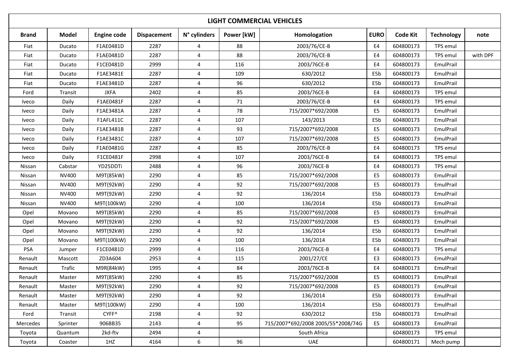| <b>LIGHT COMMERCIAL VEHICLES</b> |              |                    |                    |                |            |                                    |                |           |                   |          |  |
|----------------------------------|--------------|--------------------|--------------------|----------------|------------|------------------------------------|----------------|-----------|-------------------|----------|--|
| <b>Brand</b>                     | Model        | <b>Engine code</b> | <b>Dispacement</b> | N° cylinders   | Power [kW] | Homologation                       | <b>EURO</b>    | Code Kit  | <b>Technology</b> | note     |  |
| Fiat                             | Ducato       | F1AE0481D          | 2287               | 4              | 88         | 2003/76/CE-B                       | E4             | 604800173 | TPS emul          |          |  |
| Fiat                             | Ducato       | F1AE0481D          | 2287               | 4              | 88         | 2003/76/CE-B                       | E <sub>4</sub> | 604800173 | TPS emul          | with DPF |  |
| Fiat                             | Ducato       | F1CE0481D          | 2999               | 4              | 116        | 2003/76CE-B                        | E4             | 604800173 | EmulPrail         |          |  |
| Fiat                             | Ducato       | F1AE3481E          | 2287               | 4              | 109        | 630/2012                           | E5b            | 604800173 | EmulPrail         |          |  |
| Fiat                             | Ducato       | F1AE3481D          | 2287               | 4              | 96         | 630/2012                           | E5b            | 604800173 | EmulPrail         |          |  |
| Ford                             | Transit      | <b>JXFA</b>        | 2402               | 4              | 85         | 2003/76CE-B                        | E4             | 604800173 | TPS emul          |          |  |
| Iveco                            | Daily        | F1AE0481F          | 2287               | 4              | 71         | 2003/76/CE-B                       | E4             | 604800173 | TPS emul          |          |  |
| Iveco                            | Daily        | F1AE3481A          | 2287               | $\overline{4}$ | 78         | 715/2007*692/2008                  | E <sub>5</sub> | 604800173 | EmulPrail         |          |  |
| Iveco                            | Daily        | F1AFL411C          | 2287               | $\overline{4}$ | 107        | 143/2013                           | E5b            | 604800173 | EmulPrail         |          |  |
| <b>Iveco</b>                     | Daily        | F1AE3481B          | 2287               | 4              | 93         | 715/2007*692/2008                  | E <sub>5</sub> | 604800173 | EmulPrail         |          |  |
| <b>Iveco</b>                     | Daily        | F1AE3481C          | 2287               | 4              | 107        | 715/2007*692/2008                  | E <sub>5</sub> | 604800173 | EmulPrail         |          |  |
| <b>Iveco</b>                     | Daily        | F1AE0481G          | 2287               | 4              | 85         | 2003/76/CE-B                       | E4             | 604800173 | TPS emul          |          |  |
| Iveco                            | Daily        | F1CE0481F          | 2998               | 4              | 107        | 2003/76CE-B                        | E <sub>4</sub> | 604800173 | TPS emul          |          |  |
| Nissan                           | Cabstar      | YD25DDTi           | 2488               | 4              | 96         | 2003/76CE-B                        | E <sub>4</sub> | 604800173 | TPS emul          |          |  |
| Nissan                           | <b>NV400</b> | M9T(85kW)          | 2290               | 4              | 85         | 715/2007*692/2008                  | E <sub>5</sub> | 604800173 | EmulPrail         |          |  |
| Nissan                           | NV400        | M9T(92kW)          | 2290               | 4              | 92         | 715/2007*692/2008                  | E <sub>5</sub> | 604800173 | EmulPrail         |          |  |
| Nissan                           | <b>NV400</b> | M9T(92kW)          | 2290               | 4              | 92         | 136/2014                           | E5b            | 604800173 | EmulPrail         |          |  |
| Nissan                           | NV400        | M9T(100kW)         | 2290               | 4              | 100        | 136/2014                           | E5b            | 604800173 | EmulPrail         |          |  |
| Opel                             | Movano       | M9T(85kW)          | 2290               | 4              | 85         | 715/2007*692/2008                  | E <sub>5</sub> | 604800173 | EmulPrail         |          |  |
| Opel                             | Movano       | M9T(92kW)          | 2290               | $\overline{a}$ | 92         | 715/2007*692/2008                  | E <sub>5</sub> | 604800173 | EmulPrail         |          |  |
| Opel                             | Movano       | M9T(92kW)          | 2290               | 4              | 92         | 136/2014                           | E5b            | 604800173 | EmulPrail         |          |  |
| Opel                             | Movano       | M9T(100kW)         | 2290               | 4              | 100        | 136/2014                           | E5b            | 604800173 | EmulPrail         |          |  |
| <b>PSA</b>                       | Jumper       | F1CE0481D          | 2999               | 4              | 116        | 2003/76CE-B                        | E4             | 604800173 | TPS emul          |          |  |
| Renault                          | Mascott      | ZD3A604            | 2953               | 4              | 115        | 2001/27/CE                         | E <sub>3</sub> | 604800173 | EmulPrail         |          |  |
| Renault                          | Trafic       | M9R(84kW)          | 1995               | 4              | 84         | 2003/76CE-B                        | E4             | 604800173 | EmulPrail         |          |  |
| Renault                          | Master       | M9T(85kW)          | 2290               | 4              | 85         | 715/2007*692/2008                  | E <sub>5</sub> | 604800173 | EmulPrail         |          |  |
| Renault                          | Master       | M9T(92kW)          | 2290               | 4              | 92         | 715/2007*692/2008                  | E5             | 604800173 | EmulPrail         |          |  |
| Renault                          | Master       | M9T(92kW)          | 2290               | 4              | 92         | 136/2014                           | E5b            | 604800173 | EmulPrail         |          |  |
| Renault                          | Master       | M9T(100kW)         | 2290               | 4              | 100        | 136/2014                           | E5b            | 604800173 | EmulPrail         |          |  |
| Ford                             | Transit      | CYFF^              | 2198               | 4              | 92         | 630/2012                           | E5b            | 604800173 | EmulPrail         |          |  |
| Mercedes                         | Sprinter     | 906BB35            | 2143               | 4              | 95         | 715/2007*692/2008 2005/55*2008/74G | E5             | 604800173 | EmulPrail         |          |  |
| Toyota                           | Quantum      | 2kd-ftv            | 2494               | $\overline{4}$ |            | South Africa                       |                | 604800173 | TPS emul          |          |  |
| Toyota                           | Coaster      | 1HZ                | 4164               | 6              | 96         | <b>UAE</b>                         |                | 604800171 | Mech pump         |          |  |